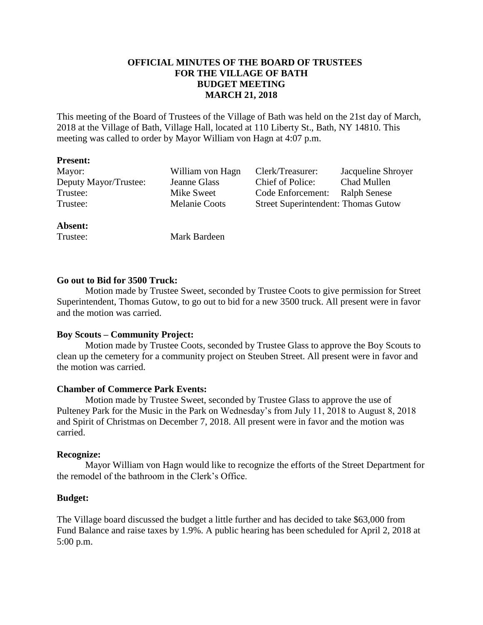# **OFFICIAL MINUTES OF THE BOARD OF TRUSTEES FOR THE VILLAGE OF BATH BUDGET MEETING MARCH 21, 2018**

This meeting of the Board of Trustees of the Village of Bath was held on the 21st day of March, 2018 at the Village of Bath, Village Hall, located at 110 Liberty St., Bath, NY 14810. This meeting was called to order by Mayor William von Hagn at 4:07 p.m.

#### **Present:**

| Mayor:                | William von Hagn | Clerk/Treasurer:                           | Jacqueline Shroyer  |
|-----------------------|------------------|--------------------------------------------|---------------------|
| Deputy Mayor/Trustee: | Jeanne Glass     | Chief of Police:                           | Chad Mullen         |
| Trustee:              | Mike Sweet       | Code Enforcement:                          | <b>Ralph Senese</b> |
| Trustee:              | Melanie Coots    | <b>Street Superintendent: Thomas Gutow</b> |                     |
|                       |                  |                                            |                     |

## **Absent:**

Trustee: Mark Bardeen

## **Go out to Bid for 3500 Truck:**

Motion made by Trustee Sweet, seconded by Trustee Coots to give permission for Street Superintendent, Thomas Gutow, to go out to bid for a new 3500 truck. All present were in favor and the motion was carried.

## **Boy Scouts – Community Project:**

Motion made by Trustee Coots, seconded by Trustee Glass to approve the Boy Scouts to clean up the cemetery for a community project on Steuben Street. All present were in favor and the motion was carried.

## **Chamber of Commerce Park Events:**

Motion made by Trustee Sweet, seconded by Trustee Glass to approve the use of Pulteney Park for the Music in the Park on Wednesday's from July 11, 2018 to August 8, 2018 and Spirit of Christmas on December 7, 2018. All present were in favor and the motion was carried.

#### **Recognize:**

Mayor William von Hagn would like to recognize the efforts of the Street Department for the remodel of the bathroom in the Clerk's Office.

## **Budget:**

The Village board discussed the budget a little further and has decided to take \$63,000 from Fund Balance and raise taxes by 1.9%. A public hearing has been scheduled for April 2, 2018 at 5:00 p.m.